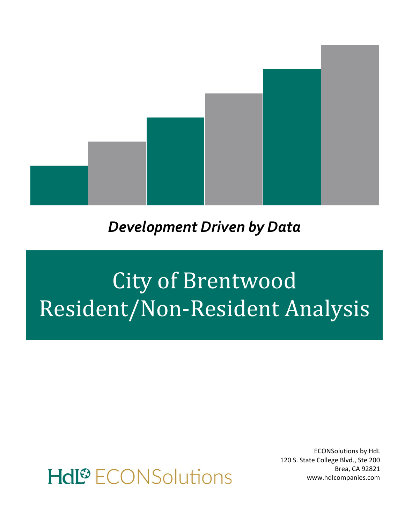

### *Development Driven by Data*

# City of Brentwood Resident/Non-Resident Analysis

## Hdl<sup>®</sup> ECONSolutions

ECONSolutions by HdL 120 S. State College Blvd., Ste 200 Brea, CA 92821 www.hdlcompanies.com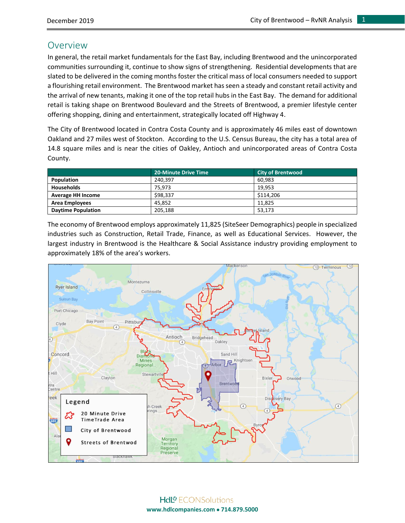#### Overview

In general, the retail market fundamentals for the East Bay, including Brentwood and the unincorporated communities surrounding it, continue to show signs of strengthening. Residential developments that are slated to be delivered in the coming months foster the critical mass of local consumers needed to support a flourishing retail environment. The Brentwood market has seen a steady and constant retail activity and the arrival of new tenants, making it one of the top retail hubs in the East Bay. The demand for additional retail is taking shape on Brentwood Boulevard and the Streets of Brentwood, a premier lifestyle center offering shopping, dining and entertainment, strategically located off Highway 4.

The City of Brentwood located in Contra Costa County and is approximately 46 miles east of downtown Oakland and 27 miles west of Stockton. According to the U.S. Census Bureau, the city has a total area of 14.8 square miles and is near the cities of Oakley, Antioch and unincorporated areas of Contra Costa County.

|                           | <b>20-Minute Drive Time</b> | <b>City of Brentwood</b> |
|---------------------------|-----------------------------|--------------------------|
| Population                | 240.397                     | 60.983                   |
| <b>Households</b>         | 75.973                      | 19.953                   |
| <b>Average HH Income</b>  | \$98.337                    | \$114,206                |
| <b>Area Employees</b>     | 45.852                      | 11.825                   |
| <b>Daytime Population</b> | 205.188                     | 53,173                   |

The economy of Brentwood employs approximately 11,825 (SiteSeer Demographics) people in specialized industries such as Construction, Retail Trade, Finance, as well as Educational Services. However, the largest industry in Brentwood is the Healthcare & Social Assistance industry providing employment to approximately 18% of the area's workers.

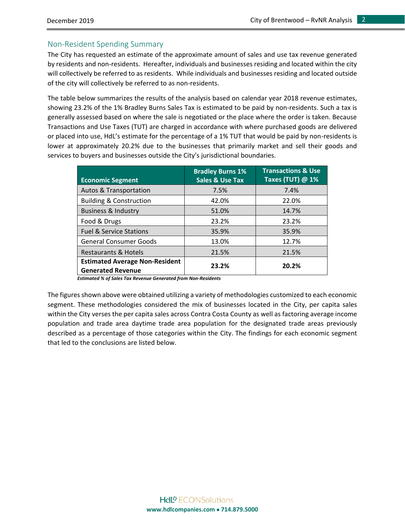#### Non-Resident Spending Summary

The City has requested an estimate of the approximate amount of sales and use tax revenue generated by residents and non-residents. Hereafter, individuals and businesses residing and located within the city will collectively be referred to as residents. While individuals and businesses residing and located outside of the city will collectively be referred to as non-residents.

The table below summarizes the results of the analysis based on calendar year 2018 revenue estimates, showing 23.2% of the 1% Bradley Burns Sales Tax is estimated to be paid by non-residents. Such a tax is generally assessed based on where the sale is negotiated or the place where the order is taken. Because Transactions and Use Taxes (TUT) are charged in accordance with where purchased goods are delivered or placed into use, HdL's estimate for the percentage of a 1% TUT that would be paid by non-residents is lower at approximately 20.2% due to the businesses that primarily market and sell their goods and services to buyers and businesses outside the City's jurisdictional boundaries.

| <b>Economic Segment</b>                                           | <b>Bradley Burns 1%</b><br><b>Sales &amp; Use Tax</b> | <b>Transactions &amp; Use</b><br>Taxes (TUT) @ 1% |
|-------------------------------------------------------------------|-------------------------------------------------------|---------------------------------------------------|
| <b>Autos &amp; Transportation</b>                                 | 7.5%                                                  | 7.4%                                              |
| <b>Building &amp; Construction</b>                                | 42.0%                                                 | 22.0%                                             |
| <b>Business &amp; Industry</b>                                    | 51.0%                                                 | 14.7%                                             |
| Food & Drugs                                                      | 23.2%                                                 | 23.2%                                             |
| <b>Fuel &amp; Service Stations</b>                                | 35.9%                                                 | 35.9%                                             |
| <b>General Consumer Goods</b>                                     | 13.0%                                                 | 12.7%                                             |
| <b>Restaurants &amp; Hotels</b>                                   | 21.5%                                                 | 21.5%                                             |
| <b>Estimated Average Non-Resident</b><br><b>Generated Revenue</b> | 23.2%                                                 | 20.2%                                             |

 *Estimated % of Sales Tax Revenue Generated from Non-Residents*

The figures shown above were obtained utilizing a variety of methodologies customized to each economic segment. These methodologies considered the mix of businesses located in the City, per capita sales within the City verses the per capita sales across Contra Costa County as well as factoring average income population and trade area daytime trade area population for the designated trade areas previously described as a percentage of those categories within the City. The findings for each economic segment that led to the conclusions are listed below.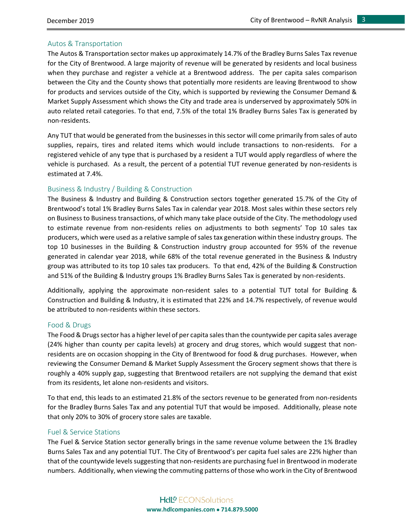#### Autos & Transportation

The Autos & Transportation sector makes up approximately 14.7% of the Bradley Burns Sales Tax revenue for the City of Brentwood. A large majority of revenue will be generated by residents and local business when they purchase and register a vehicle at a Brentwood address. The per capita sales comparison between the City and the County shows that potentially more residents are leaving Brentwood to show for products and services outside of the City, which is supported by reviewing the Consumer Demand & Market Supply Assessment which shows the City and trade area is underserved by approximately 50% in auto related retail categories. To that end, 7.5% of the total 1% Bradley Burns Sales Tax is generated by non-residents.

Any TUT that would be generated from the businesses in this sector will come primarily from sales of auto supplies, repairs, tires and related items which would include transactions to non-residents. For a registered vehicle of any type that is purchased by a resident a TUT would apply regardless of where the vehicle is purchased. As a result, the percent of a potential TUT revenue generated by non-residents is estimated at 7.4%.

#### Business & Industry / Building & Construction

The Business & Industry and Building & Construction sectors together generated 15.7% of the City of Brentwood's total 1% Bradley Burns Sales Tax in calendar year 2018. Most sales within these sectors rely on Business to Business transactions, of which many take place outside of the City. The methodology used to estimate revenue from non-residents relies on adjustments to both segments' Top 10 sales tax producers, which were used as a relative sample of sales tax generation within these industry groups. The top 10 businesses in the Building & Construction industry group accounted for 95% of the revenue generated in calendar year 2018, while 68% of the total revenue generated in the Business & Industry group was attributed to its top 10 sales tax producers. To that end, 42% of the Building & Construction and 51% of the Building & Industry groups 1% Bradley Burns Sales Tax is generated by non-residents.

Additionally, applying the approximate non-resident sales to a potential TUT total for Building & Construction and Building & Industry, it is estimated that 22% and 14.7% respectively, of revenue would be attributed to non-residents within these sectors.

#### Food & Drugs

The Food & Drugs sector has a higher level of per capita sales than the countywide per capita sales average (24% higher than county per capita levels) at grocery and drug stores, which would suggest that nonresidents are on occasion shopping in the City of Brentwood for food & drug purchases. However, when reviewing the Consumer Demand & Market Supply Assessment the Grocery segment shows that there is roughly a 40% supply gap, suggesting that Brentwood retailers are not supplying the demand that exist from its residents, let alone non-residents and visitors.

To that end, this leads to an estimated 21.8% of the sectors revenue to be generated from non-residents for the Bradley Burns Sales Tax and any potential TUT that would be imposed. Additionally, please note that only 20% to 30% of grocery store sales are taxable.

#### Fuel & Service Stations

The Fuel & Service Station sector generally brings in the same revenue volume between the 1% Bradley Burns Sales Tax and any potential TUT. The City of Brentwood's per capita fuel sales are 22% higher than that of the countywide levels suggesting that non-residents are purchasing fuel in Brentwood in moderate numbers. Additionally, when viewing the commuting patterns of those who work in the City of Brentwood